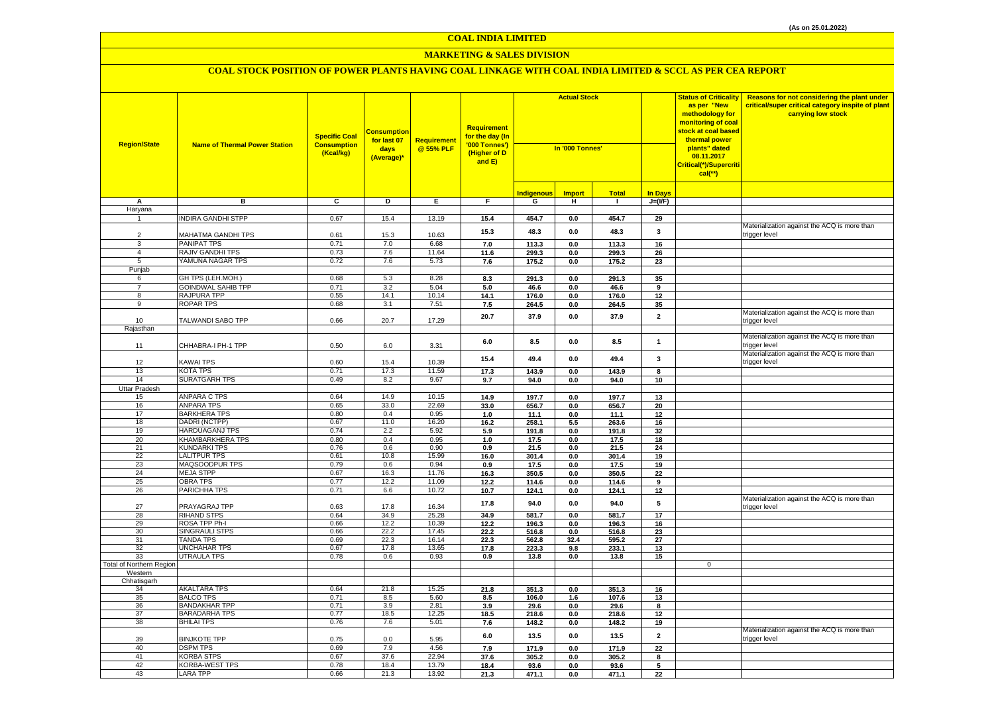# **MARKETING & SALES DIVISION**

| <b>Region/State</b>             | <b>Name of Thermal Power Station</b>    | <b>Specific Coal</b><br><b>Consumption</b><br>(Kcal/kg) | <b>Consumption</b><br>for last 07<br>days<br>(Average)* | <b>Requirement</b><br>@ 55% PLF | <b>Requirement</b><br>for the day (In<br>'000 Tonnes')<br>(Higher of D<br>and E) | <b>Actual Stock</b><br>In '000 Tonnes' |                 |                | <b>Status of Criticality</b><br>as per "New<br>methodology for<br>monitoring of coal<br><mark>stock at coal based</mark><br>thermal power<br>plants" dated<br>08.11.2017<br>Critical(*)/Supercriti | Reasons for not considering the plant under<br>critical/super critical category inspite of plant<br>carrying low stock |                                                               |
|---------------------------------|-----------------------------------------|---------------------------------------------------------|---------------------------------------------------------|---------------------------------|----------------------------------------------------------------------------------|----------------------------------------|-----------------|----------------|----------------------------------------------------------------------------------------------------------------------------------------------------------------------------------------------------|------------------------------------------------------------------------------------------------------------------------|---------------------------------------------------------------|
|                                 |                                         |                                                         |                                                         |                                 |                                                                                  |                                        |                 |                |                                                                                                                                                                                                    | $cal$ (**)                                                                                                             |                                                               |
|                                 |                                         |                                                         |                                                         |                                 |                                                                                  | <b>Indigenous</b>                      | <b>Import</b>   | <b>Total</b>   | <b>In Days</b>                                                                                                                                                                                     |                                                                                                                        |                                                               |
| А                               | в                                       | $\overline{c}$                                          | D                                                       | Ε                               | F                                                                                | G                                      | н.              | $\blacksquare$ | $J=(I/F)$                                                                                                                                                                                          |                                                                                                                        |                                                               |
| Haryana                         |                                         |                                                         |                                                         |                                 |                                                                                  |                                        |                 |                |                                                                                                                                                                                                    |                                                                                                                        |                                                               |
|                                 | <b>INDIRA GANDHI STPP</b>               | 0.67                                                    | 15.4                                                    | 13.19                           | 15.4                                                                             | 454.7                                  | 0.0             | 454.7          | 29                                                                                                                                                                                                 |                                                                                                                        | Materialization against the ACQ is more than                  |
| $\overline{2}$                  | MAHATMA GANDHI TPS                      | 0.61                                                    | 15.3                                                    | 10.63                           | 15.3                                                                             | 48.3                                   | 0.0             | 48.3           | 3                                                                                                                                                                                                  |                                                                                                                        | trigger level                                                 |
| 3                               | PANIPAT TPS                             | 0.71                                                    | 7.0                                                     | 6.68                            | 7.0                                                                              | 113.3                                  | 0.0             | 113.3          | 16                                                                                                                                                                                                 |                                                                                                                        |                                                               |
| $\overline{4}$                  | RAJIV GANDHI TPS                        | 0.73                                                    | 7.6                                                     | 11.64                           | 11.6                                                                             | 299.3                                  | 0.0             | 299.3          | 26                                                                                                                                                                                                 |                                                                                                                        |                                                               |
| 5                               | YAMUNA NAGAR TPS                        | 0.72                                                    | 7.6                                                     | 5.73                            | 7.6                                                                              | 175.2                                  | 0.0             | 175.2          | 23                                                                                                                                                                                                 |                                                                                                                        |                                                               |
| Punjab<br>6                     | GH TPS (LEH.MOH.)                       | 0.68                                                    | 5.3                                                     | 8.28                            |                                                                                  | 291.3                                  |                 |                |                                                                                                                                                                                                    |                                                                                                                        |                                                               |
| $\overline{7}$                  | <b>GOINDWAL SAHIB TPP</b>               | 0.71                                                    | 3.2                                                     | 5.04                            | 8.3<br>5.0                                                                       | 46.6                                   | 0.0<br>0.0      | 291.3<br>46.6  | 35<br>9                                                                                                                                                                                            |                                                                                                                        |                                                               |
| 8                               | RAJPURA TPP                             | 0.55                                                    | 14.1                                                    | 10.14                           | 14.1                                                                             | 176.0                                  | $0.0\,$         | 176.0          | 12                                                                                                                                                                                                 |                                                                                                                        |                                                               |
| 9                               | <b>ROPAR TPS</b>                        | 0.68                                                    | 3.1                                                     | 7.51                            | 7.5                                                                              | 264.5                                  | $0.0\,$         | 264.5          | 35                                                                                                                                                                                                 |                                                                                                                        |                                                               |
| 10                              | TALWANDI SABO TPP                       | 0.66                                                    | 20.7                                                    | 17.29                           | 20.7                                                                             | 37.9                                   | 0.0             | 37.9           | $\overline{2}$                                                                                                                                                                                     |                                                                                                                        | Materialization against the ACQ is more than<br>trigger level |
| Rajasthan                       |                                         |                                                         |                                                         |                                 |                                                                                  |                                        |                 |                |                                                                                                                                                                                                    |                                                                                                                        |                                                               |
| 11                              | CHHABRA-I PH-1 TPP                      | 0.50                                                    | 6.0                                                     | 3.31                            | 6.0                                                                              | 8.5                                    | 0.0             | 8.5            | $\mathbf{1}$                                                                                                                                                                                       |                                                                                                                        | Materialization against the ACQ is more than<br>trigger level |
| 12                              | KAWAI TPS                               | 0.60                                                    | 15.4                                                    | 10.39                           | 15.4                                                                             | 49.4                                   | 0.0             | 49.4           | 3                                                                                                                                                                                                  |                                                                                                                        | Materialization against the ACQ is more than<br>trigger level |
| 13                              | <b>KOTA TPS</b>                         | 0.71                                                    | 17.3                                                    | 11.59                           | 17.3                                                                             | 143.9                                  | 0.0             | 143.9          | 8                                                                                                                                                                                                  |                                                                                                                        |                                                               |
| 14                              | <b>SURATGARH TPS</b>                    | 0.49                                                    | 8.2                                                     | 9.67                            | 9.7                                                                              | 94.0                                   | $0.0\,$         | 94.0           | 10                                                                                                                                                                                                 |                                                                                                                        |                                                               |
| <b>Uttar Pradesh</b>            |                                         |                                                         |                                                         |                                 |                                                                                  |                                        |                 |                |                                                                                                                                                                                                    |                                                                                                                        |                                                               |
| 15                              | ANPARA C TPS                            | 0.64                                                    | 14.9                                                    | 10.15                           | 14.9                                                                             | 197.7                                  | $0.0\,$         | 197.7          | 13                                                                                                                                                                                                 |                                                                                                                        |                                                               |
| 16                              | <b>ANPARA TPS</b>                       | 0.65                                                    | 33.0                                                    | 22.69                           | 33.0                                                                             | 656.7                                  | $0.0\,$         | 656.7          | 20                                                                                                                                                                                                 |                                                                                                                        |                                                               |
| 17<br>18                        | <b>BARKHERA TPS</b><br>DADRI (NCTPP)    | 0.80<br>0.67                                            | 0.4<br>11.0                                             | 0.95<br>16.20                   | $1.0$<br>16.2                                                                    | 11.1<br>258.1                          | 0.0<br>5.5      | 11.1<br>263.6  | 12<br>16                                                                                                                                                                                           |                                                                                                                        |                                                               |
| 19                              | <b>HARDUAGANJ TPS</b>                   | 0.74                                                    | 2.2                                                     | 5.92                            | 5.9                                                                              | 191.8                                  | 0.0             | 191.8          | 32                                                                                                                                                                                                 |                                                                                                                        |                                                               |
| 20                              | KHAMBARKHERA TPS                        | 0.80                                                    | 0.4                                                     | 0.95                            | 1.0                                                                              | 17.5                                   | 0.0             | 17.5           | 18                                                                                                                                                                                                 |                                                                                                                        |                                                               |
| 21                              | <b>KUNDARKI TPS</b>                     | 0.76                                                    | 0.6                                                     | 0.90                            | 0.9                                                                              | 21.5                                   | 0.0             | 21.5           | 24                                                                                                                                                                                                 |                                                                                                                        |                                                               |
| 22                              | <b>LALITPUR TPS</b>                     | 0.61                                                    | 10.8                                                    | 15.99                           | 16.0                                                                             | 301.4                                  | 0.0             | 301.4          | 19                                                                                                                                                                                                 |                                                                                                                        |                                                               |
| 23                              | MAQSOODPUR TPS                          | 0.79                                                    | 0.6                                                     | 0.94                            | 0.9                                                                              | 17.5                                   | 0.0             | 17.5           | 19                                                                                                                                                                                                 |                                                                                                                        |                                                               |
| 24<br>25                        | <b>MEJA STPP</b><br><b>OBRA TPS</b>     | 0.67<br>0.77                                            | 16.3<br>12.2                                            | 11.76<br>11.09                  | 16.3<br>12.2                                                                     | 350.5<br>114.6                         | 0.0<br>0.0      | 350.5<br>114.6 | 22<br>9                                                                                                                                                                                            |                                                                                                                        |                                                               |
| 26                              | PARICHHA TPS                            | 0.71                                                    | 6.6                                                     | 10.72                           | 10.7                                                                             | 124.1                                  | $0.0\,$         | 124.1          | 12                                                                                                                                                                                                 |                                                                                                                        |                                                               |
| 27                              | PRAYAGRAJ TPP                           | 0.63                                                    | 17.8                                                    | 16.34                           | 17.8                                                                             | 94.0                                   | 0.0             | 94.0           | 5                                                                                                                                                                                                  |                                                                                                                        | Materialization against the ACQ is more than<br>trigger level |
| 28                              | <b>RIHAND STPS</b>                      | 0.64                                                    | 34.9                                                    | 25.28                           | 34.9                                                                             | 581.7                                  | 0.0             | 581.7          | 17                                                                                                                                                                                                 |                                                                                                                        |                                                               |
| 29                              | ROSA TPP Ph-I                           | 0.66                                                    | 12.2                                                    | 10.39                           | 12.2                                                                             | 196.3                                  | 0.0             | 196.3          | 16                                                                                                                                                                                                 |                                                                                                                        |                                                               |
| 30<br>31                        | <b>SINGRAULI STPS</b><br>TANDA TPS      | 0.66<br>0.69                                            | 22.2<br>22.3                                            | 17.45<br>16.14                  | 22.2                                                                             | 516.8<br>562.8                         | $0.0\,$<br>32.4 | 516.8<br>595.2 | 23<br>${\bf 27}$                                                                                                                                                                                   |                                                                                                                        |                                                               |
| 32                              | <b>UNCHAHAR TPS</b>                     | 0.67                                                    | 17.8                                                    | 13.65                           | 22.3<br>17.8                                                                     | 223.3                                  | 9.8             | 233.1          | 13                                                                                                                                                                                                 |                                                                                                                        |                                                               |
| 33                              | <b>UTRAULA TPS</b>                      | 0.78                                                    | 0.6                                                     | 0.93                            | 0.9                                                                              | 13.8                                   | 0.0             | 13.8           | 15                                                                                                                                                                                                 |                                                                                                                        |                                                               |
| <b>Total of Northern Region</b> |                                         |                                                         |                                                         |                                 |                                                                                  |                                        |                 |                |                                                                                                                                                                                                    | $\mathbf 0$                                                                                                            |                                                               |
| Western                         |                                         |                                                         |                                                         |                                 |                                                                                  |                                        |                 |                |                                                                                                                                                                                                    |                                                                                                                        |                                                               |
| Chhatisgarh                     |                                         |                                                         |                                                         |                                 |                                                                                  |                                        |                 |                |                                                                                                                                                                                                    |                                                                                                                        |                                                               |
| 34<br>35                        | <b>AKALTARA TPS</b><br><b>BALCO TPS</b> | 0.64<br>0.71                                            | 21.8<br>8.5                                             | 15.25<br>5.60                   | 21.8<br>8.5                                                                      | 351.3<br>106.0                         | 0.0<br>1.6      | 351.3<br>107.6 | 16<br>13                                                                                                                                                                                           |                                                                                                                        |                                                               |
| 36                              | <b>BANDAKHAR TPP</b>                    | 0.71                                                    | 3.9                                                     | 2.81                            | 3.9                                                                              | 29.6                                   | 0.0             | 29.6           | 8                                                                                                                                                                                                  |                                                                                                                        |                                                               |
| 37                              | <b>BARADARHA TPS</b>                    | 0.77                                                    | 18.5                                                    | 12.25                           | 18.5                                                                             | 218.6                                  | 0.0             | 218.6          | 12                                                                                                                                                                                                 |                                                                                                                        |                                                               |
| 38                              | <b>BHILAI TPS</b>                       | 0.76                                                    | 7.6                                                     | 5.01                            | 7.6                                                                              | 148.2                                  | 0.0             | 148.2          | 19                                                                                                                                                                                                 |                                                                                                                        |                                                               |
| 39                              | <b>BINJKOTE TPP</b>                     | 0.75                                                    | 0.0                                                     | 5.95                            | $6.0\,$                                                                          | 13.5                                   | 0.0             | 13.5           | $\overline{\mathbf{2}}$                                                                                                                                                                            |                                                                                                                        | Materialization against the ACQ is more than<br>trigger level |
| 40                              | <b>DSPM TPS</b>                         | 0.69                                                    | 7.9                                                     | 4.56                            | 7.9                                                                              | 171.9                                  | 0.0             | 171.9          | 22                                                                                                                                                                                                 |                                                                                                                        |                                                               |
| 41                              | <b>KORBA STPS</b>                       | 0.67                                                    | 37.6                                                    | 22.94                           | 37.6                                                                             | 305.2                                  | 0.0             | 305.2          | 8                                                                                                                                                                                                  |                                                                                                                        |                                                               |
| 42<br>43                        | KORBA-WEST TPS                          | 0.78                                                    | 18.4<br>21.3                                            | 13.79                           | 18.4                                                                             | 93.6                                   | 0.0             | 93.6           | 5                                                                                                                                                                                                  |                                                                                                                        |                                                               |
|                                 | <b>LARA TPP</b>                         | 0.66                                                    |                                                         | 13.92                           | 21.3                                                                             | 471.1                                  | 0.0             | 471.1          | 22                                                                                                                                                                                                 |                                                                                                                        |                                                               |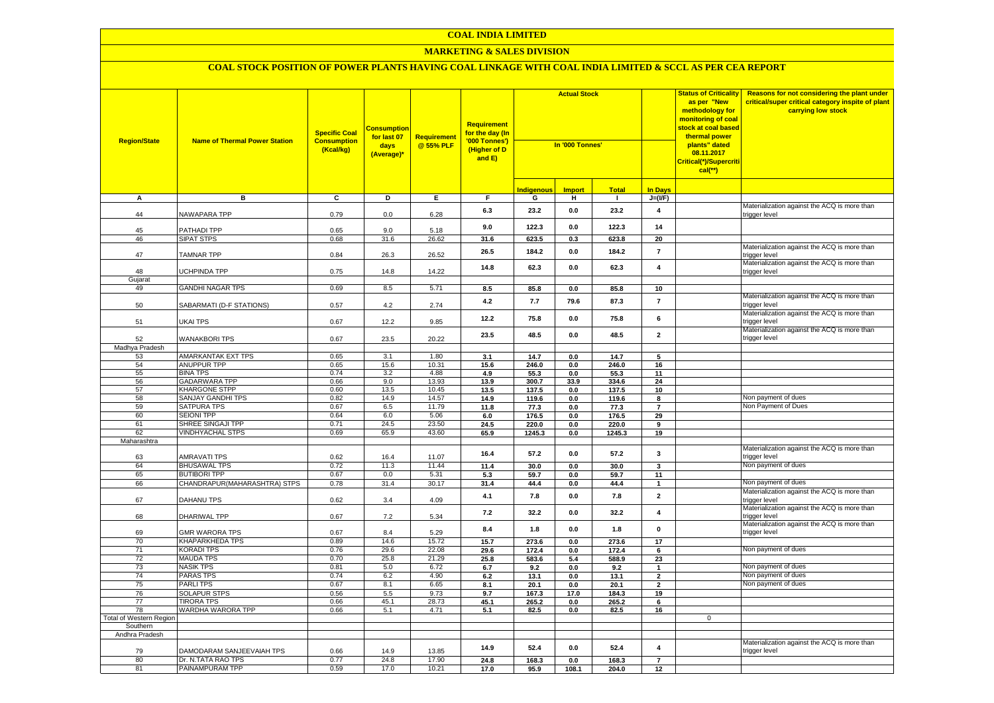### **MARKETING & SALES DIVISION**

| <b>Region/State</b>     | <b>Name of Thermal Power Station</b>    | <b>Specific Coal</b><br><b>Consumption</b><br>(Kcal/kg) | Consumptior<br>for last 07<br>days<br>(Average)* | <b>Requirement</b><br>@ 55% PLF | <b>Requirement</b><br>for the day (In<br>'000 Tonnes')<br>(Higher of D<br>and $E$ ) | <b>Actual Stock</b><br>In '000 Tonnes' |               |               |                                | <b>Status of Criticality</b><br>as per "New<br>methodology for<br>monitoring of coal<br><mark>stock at coal based</mark><br>thermal power<br>plants" dated<br>08.11.2017<br>Critical(*)/Supercriti<br>$cal$ (**) | Reasons for not considering the plant under<br>critical/super critical category inspite of plant<br>carrying low stock |
|-------------------------|-----------------------------------------|---------------------------------------------------------|--------------------------------------------------|---------------------------------|-------------------------------------------------------------------------------------|----------------------------------------|---------------|---------------|--------------------------------|------------------------------------------------------------------------------------------------------------------------------------------------------------------------------------------------------------------|------------------------------------------------------------------------------------------------------------------------|
|                         |                                         |                                                         |                                                  |                                 |                                                                                     | <b>Indigenous</b>                      | <b>Import</b> | <b>Total</b>  | In Days                        |                                                                                                                                                                                                                  |                                                                                                                        |
| A                       | в                                       | C                                                       | D                                                | Ε.                              | F.                                                                                  | G                                      | н             | $\mathbf{I}$  | $J=(I/F)$                      |                                                                                                                                                                                                                  |                                                                                                                        |
| 44                      | NAWAPARA TPP                            | 0.79                                                    | 0.0                                              | 6.28                            | 6.3                                                                                 | 23.2                                   | 0.0           | 23.2          | 4                              |                                                                                                                                                                                                                  | Materialization against the ACQ is more than<br>trigger level                                                          |
| 45                      | PATHADI TPP                             | 0.65                                                    | 9.0                                              | 5.18                            | 9.0                                                                                 | 122.3                                  | 0.0           | 122.3         | 14                             |                                                                                                                                                                                                                  |                                                                                                                        |
| 46                      | <b>SIPAT STPS</b>                       | 0.68                                                    | 31.6                                             | 26.62                           | 31.6                                                                                | 623.5                                  | 0.3           | 623.8         | 20                             |                                                                                                                                                                                                                  |                                                                                                                        |
| 47                      | <b>TAMNAR TPP</b>                       | 0.84                                                    | 26.3                                             | 26.52                           | 26.5                                                                                | 184.2                                  | 0.0           | 184.2         | $\overline{7}$                 |                                                                                                                                                                                                                  | Materialization against the ACQ is more than<br>trigger level                                                          |
| 48                      | UCHPINDA TPP                            | 0.75                                                    | 14.8                                             | 14.22                           | 14.8                                                                                | 62.3                                   | 0.0           | 62.3          | $\overline{\mathbf{4}}$        |                                                                                                                                                                                                                  | Materialization against the ACQ is more than<br>trigger level                                                          |
| Gujarat                 |                                         |                                                         |                                                  |                                 |                                                                                     |                                        |               |               |                                |                                                                                                                                                                                                                  |                                                                                                                        |
| 49                      | <b>GANDHI NAGAR TPS</b>                 | 0.69                                                    | 8.5                                              | 5.71                            | 8.5                                                                                 | 85.8                                   | 0.0           | 85.8          | 10                             |                                                                                                                                                                                                                  |                                                                                                                        |
| 50                      | SABARMATI (D-F STATIONS)                | 0.57                                                    | 4.2                                              | 2.74                            | 4.2                                                                                 | 7.7                                    | 79.6          | 87.3          | $\overline{7}$                 |                                                                                                                                                                                                                  | Materialization against the ACQ is more than<br>trigger level                                                          |
| 51                      | UKAI TPS                                | 0.67                                                    | 12.2                                             | 9.85                            | 12.2                                                                                | 75.8                                   | 0.0           | 75.8          | 6                              |                                                                                                                                                                                                                  | Materialization against the ACQ is more than<br>trigger level                                                          |
| 52                      | WANAKBORI TPS                           | 0.67                                                    | 23.5                                             | 20.22                           | 23.5                                                                                | 48.5                                   | 0.0           | 48.5          | $\overline{\mathbf{2}}$        |                                                                                                                                                                                                                  | Materialization against the ACQ is more than<br>trigger level                                                          |
| Madhya Pradesh          |                                         |                                                         |                                                  |                                 |                                                                                     |                                        |               |               |                                |                                                                                                                                                                                                                  |                                                                                                                        |
| 53                      | AMARKANTAK EXT TPS                      | 0.65                                                    | 3.1                                              | 1.80                            | 3.1                                                                                 | 14.7                                   | 0.0           | 14.7          | 5                              |                                                                                                                                                                                                                  |                                                                                                                        |
| 54                      | <b>ANUPPUR TPP</b>                      | 0.65                                                    | 15.6                                             | 10.31                           | 15.6                                                                                | 246.0                                  | 0.0           | 246.0         | 16                             |                                                                                                                                                                                                                  |                                                                                                                        |
| 55<br>56                | <b>BINA TPS</b><br><b>GADARWARA TPP</b> | 0.74<br>0.66                                            | 3.2<br>9.0                                       | 4.88<br>13.93                   | 4.9<br>13.9                                                                         | 55.3<br>300.7                          | 0.0<br>33.9   | 55.3<br>334.6 | 11<br>24                       |                                                                                                                                                                                                                  |                                                                                                                        |
| 57                      | <b>KHARGONE STPP</b>                    | 0.60                                                    | 13.5                                             | 10.45                           | 13.5                                                                                | 137.5                                  | 0.0           | 137.5         | 10                             |                                                                                                                                                                                                                  |                                                                                                                        |
| 58                      | <b>SANJAY GANDHI TPS</b>                | 0.82                                                    | 14.9                                             | 14.57                           | 14.9                                                                                | 119.6                                  | 0.0           | 119.6         | 8                              |                                                                                                                                                                                                                  | Non payment of dues                                                                                                    |
| 59                      | <b>SATPURA TPS</b>                      | 0.67                                                    | 6.5                                              | 11.79                           | 11.8                                                                                | 77.3                                   | 0.0           | 77.3          | $\overline{7}$                 |                                                                                                                                                                                                                  | Non Payment of Dues                                                                                                    |
| 60                      | <b>SEIONI TPP</b>                       | 0.64                                                    | 6.0                                              | 5.06                            | 6.0                                                                                 | 176.5                                  | 0.0           | 176.5         | 29                             |                                                                                                                                                                                                                  |                                                                                                                        |
| 61                      | SHREE SINGAJI TPP                       | 0.71                                                    | 24.5                                             | 23.50                           | 24.5                                                                                | 220.0                                  | 0.0           | 220.0         | 9                              |                                                                                                                                                                                                                  |                                                                                                                        |
| 62                      | <b>VINDHYACHAL STPS</b>                 | 0.69                                                    | 65.9                                             | 43.60                           | 65.9                                                                                | 1245.3                                 | 0.0           | 1245.3        | 19                             |                                                                                                                                                                                                                  |                                                                                                                        |
| Maharashtra             |                                         |                                                         |                                                  |                                 |                                                                                     |                                        |               |               |                                |                                                                                                                                                                                                                  |                                                                                                                        |
| 63                      | AMRAVATI TPS                            | 0.62                                                    | 16.4                                             | 11.07                           | 16.4                                                                                | 57.2                                   | 0.0           | 57.2          | 3                              |                                                                                                                                                                                                                  | Materialization against the ACQ is more than<br>trigger level                                                          |
| 64                      | <b>BHUSAWAL TPS</b>                     | 0.72                                                    | 11.3                                             | 11.44                           | 11.4                                                                                | 30.0                                   | 0.0           | 30.0          | 3                              |                                                                                                                                                                                                                  | Non payment of dues                                                                                                    |
| 65                      | <b>BUTIBORI TPP</b>                     | 0.67                                                    | 0.0                                              | 5.31                            | 5.3                                                                                 | 59.7                                   | 0.0           | 59.7          | 11                             |                                                                                                                                                                                                                  |                                                                                                                        |
| 66                      | CHANDRAPUR(MAHARASHTRA) STPS            | 0.78                                                    | 31.4                                             | 30.17                           | 31.4                                                                                | 44.4                                   | 0.0           | 44.4          | $\mathbf{1}$                   |                                                                                                                                                                                                                  | Non payment of dues                                                                                                    |
| 67                      | <b>DAHANU TPS</b>                       | 0.62                                                    | 3.4                                              | 4.09                            | 4.1                                                                                 | 7.8                                    | 0.0           | 7.8           | $\mathbf 2$                    |                                                                                                                                                                                                                  | Materialization against the ACQ is more than<br>trigger level                                                          |
| 68                      | DHARIWAL TPP                            | 0.67                                                    | 7.2                                              | 5.34                            | 7.2                                                                                 | 32.2                                   | 0.0           | 32.2          | 4                              |                                                                                                                                                                                                                  | Materialization against the ACQ is more than<br>trigger level                                                          |
| 69                      | <b>GMR WARORA TPS</b>                   | 0.67                                                    | 8.4                                              | 5.29                            | 8.4                                                                                 | 1.8                                    | 0.0           | 1.8           | $\pmb{0}$                      |                                                                                                                                                                                                                  | Materialization against the ACQ is more than<br>trigger level                                                          |
| 70                      | KHAPARKHEDA TPS                         | 0.89                                                    | 14.6                                             | 15.72                           | 15.7                                                                                | 273.6                                  | 0.0           | 273.6         | 17                             |                                                                                                                                                                                                                  |                                                                                                                        |
| 71                      | <b>KORADI TPS</b>                       | 0.76                                                    | 29.6                                             | 22.08                           | 29.6                                                                                | 172.4                                  | 0.0           | 172.4         | 6                              |                                                                                                                                                                                                                  | Non payment of dues                                                                                                    |
| 72                      | MAUDA TPS                               | 0.70                                                    | 25.8                                             | 21.29                           | 25.8                                                                                | 583.6                                  | 5.4           | 588.9         | 23                             |                                                                                                                                                                                                                  |                                                                                                                        |
| 73<br>74                | <b>NASIK TPS</b><br>PARAS TPS           | 0.81<br>0.74                                            | 5.0<br>6.2                                       | 6.72<br>4.90                    | 6.7                                                                                 | 9.2                                    | 0.0           | 9.2           | $\mathbf{1}$                   |                                                                                                                                                                                                                  | Non payment of dues<br>Non payment of dues                                                                             |
| 75                      | <b>PARLITPS</b>                         | 0.67                                                    | 8.1                                              | 6.65                            | 6.2<br>8.1                                                                          | 13.1<br>20.1                           | 0.0<br>0.0    | 13.1<br>20.1  | $\mathbf{2}$<br>$\overline{2}$ |                                                                                                                                                                                                                  | Non payment of dues                                                                                                    |
| 76                      | <b>SOLAPUR STPS</b>                     | 0.56                                                    | 5.5                                              | 9.73                            | 9.7                                                                                 | 167.3                                  | 17.0          | 184.3         | 19                             |                                                                                                                                                                                                                  |                                                                                                                        |
| 77                      | <b>TIRORA TPS</b>                       | 0.66                                                    | 45.1                                             | 28.73                           | 45.1                                                                                | 265.2                                  | 0.0           | 265.2         | 6                              |                                                                                                                                                                                                                  |                                                                                                                        |
| 78                      | WARDHA WARORA TPP                       | 0.66                                                    | 5.1                                              | 4.71                            | 5.1                                                                                 | 82.5                                   | 0.0           | 82.5          | 16                             |                                                                                                                                                                                                                  |                                                                                                                        |
| Total of Western Region |                                         |                                                         |                                                  |                                 |                                                                                     |                                        |               |               |                                | $\mathbf 0$                                                                                                                                                                                                      |                                                                                                                        |
| Southern                |                                         |                                                         |                                                  |                                 |                                                                                     |                                        |               |               |                                |                                                                                                                                                                                                                  |                                                                                                                        |
| Andhra Pradesh          |                                         |                                                         |                                                  |                                 |                                                                                     |                                        |               |               |                                |                                                                                                                                                                                                                  |                                                                                                                        |
| 79                      | DAMODARAM SANJEEVAIAH TPS               | 0.66                                                    | 14.9                                             | 13.85                           | 14.9                                                                                | 52.4                                   | 0.0           | 52.4          | $\overline{\mathbf{4}}$        |                                                                                                                                                                                                                  | Materialization against the ACQ is more than<br>trigger level                                                          |
| 80                      | Dr. N.TATA RAO TPS                      | 0.77                                                    | 24.8                                             | 17.90                           | 24.8                                                                                | 168.3                                  | 0.0           | 168.3         | $\overline{7}$                 |                                                                                                                                                                                                                  |                                                                                                                        |
| 81                      | PAINAMPURAM TPP                         | 0.59                                                    | 17.0                                             | 10.21                           | 17.0                                                                                | 95.9                                   | 108.1         | 204.0         | 12                             |                                                                                                                                                                                                                  |                                                                                                                        |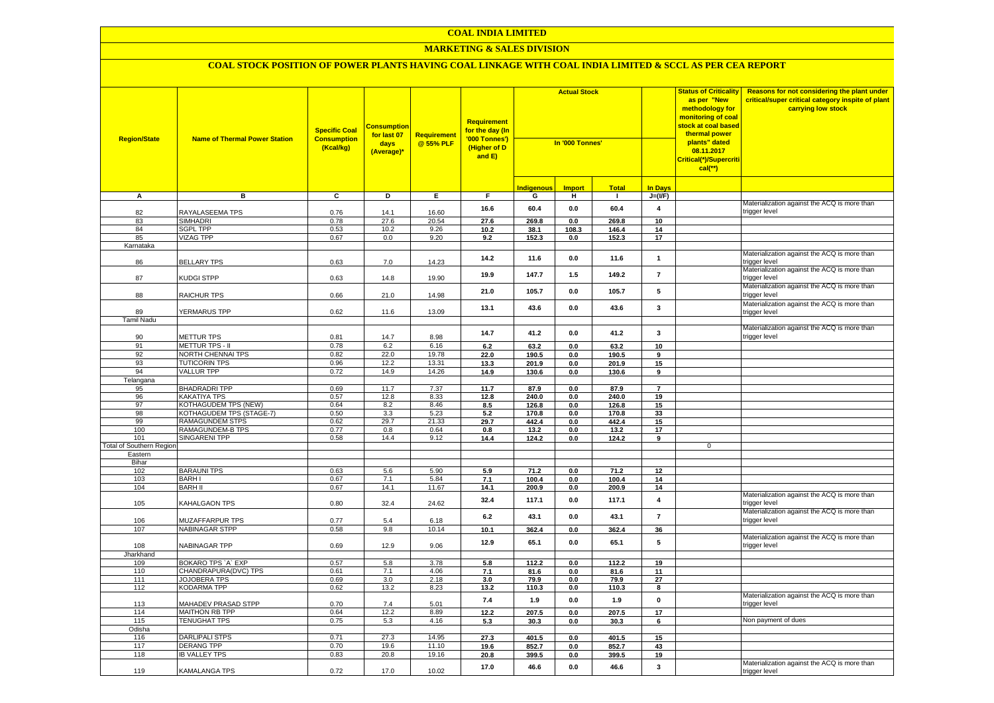### **MARKETING & SALES DIVISION**

| <b>Region/State</b>             | <b>Name of Thermal Power Station</b>               | <b>Specific Coal</b><br><b>Consumption</b><br>(Kcal/kg) | <b>Consumption</b><br>for last 07<br>days<br>(Average)* | Requirement<br>@55% PLF | Requirement<br>for the day (In<br>'000 Tonnes')<br>(Higher of D<br>and $E$ ) | <b>Actual Stock</b><br>In '000 Tonnes' |               |                |                         | <b>Status of Criticality</b><br>as per "New<br>methodology for<br>monitoring of coal<br><mark>stock at coal based</mark><br>thermal power<br>plants" dated<br>08.11.2017<br>Critical(*)/Supercriti<br>$cal$ <sup>**</sup> ) | Reasons for not considering the plant under<br>critical/super critical category inspite of plant<br>carrying low stock |
|---------------------------------|----------------------------------------------------|---------------------------------------------------------|---------------------------------------------------------|-------------------------|------------------------------------------------------------------------------|----------------------------------------|---------------|----------------|-------------------------|-----------------------------------------------------------------------------------------------------------------------------------------------------------------------------------------------------------------------------|------------------------------------------------------------------------------------------------------------------------|
|                                 |                                                    |                                                         |                                                         |                         |                                                                              | <b>Indigenous</b>                      | <b>Import</b> | <b>Total</b>   | <b>In Days</b>          |                                                                                                                                                                                                                             |                                                                                                                        |
| А                               | в                                                  | $\overline{c}$                                          | D                                                       | E                       | F                                                                            | G                                      | Ŧ             | $\mathbf{L}$   | $J=(I/F)$               |                                                                                                                                                                                                                             |                                                                                                                        |
|                                 |                                                    |                                                         |                                                         |                         | 16.6                                                                         | 60.4                                   | 0.0           | 60.4           | $\pmb{4}$               |                                                                                                                                                                                                                             | Materialization against the ACQ is more than                                                                           |
| 82                              | RAYALASEEMA TPS                                    | 0.76                                                    | 14.1                                                    | 16.60                   |                                                                              |                                        |               |                |                         |                                                                                                                                                                                                                             | rigger level                                                                                                           |
| 83                              | <b>SIMHADRI</b>                                    | 0.78                                                    | 27.6                                                    | 20.54                   | 27.6                                                                         | 269.8                                  | 0.0           | 269.8          | 10                      |                                                                                                                                                                                                                             |                                                                                                                        |
| 84<br>85                        | <b>SGPL TPP</b><br><b>VIZAG TPP</b>                | 0.53<br>0.67                                            | 10.2<br>0.0                                             | 9.26<br>9.20            | 10.2<br>9.2                                                                  | 38.1<br>152.3                          | 108.3<br>0.0  | 146.4<br>152.3 | 14<br>17                |                                                                                                                                                                                                                             |                                                                                                                        |
| Karnataka                       |                                                    |                                                         |                                                         |                         |                                                                              |                                        |               |                |                         |                                                                                                                                                                                                                             |                                                                                                                        |
|                                 |                                                    |                                                         |                                                         |                         |                                                                              |                                        |               |                |                         |                                                                                                                                                                                                                             | Materialization against the ACQ is more than                                                                           |
| 86                              | <b>BELLARY TPS</b>                                 | 0.63                                                    | $7.0$                                                   | 14.23                   | 14.2                                                                         | 11.6                                   | $0.0\,$       | 11.6           | $\mathbf{1}$            |                                                                                                                                                                                                                             | rigger level                                                                                                           |
| 87                              | KUDGI STPP                                         | 0.63                                                    | 14.8                                                    | 19.90                   | 19.9                                                                         | 147.7                                  | 1.5           | 149.2          | $\overline{7}$          |                                                                                                                                                                                                                             | Materialization against the ACQ is more than<br>trigger level                                                          |
| 88                              | <b>RAICHUR TPS</b>                                 | 0.66                                                    | 21.0                                                    | 14.98                   | 21.0                                                                         | 105.7                                  | 0.0           | 105.7          | 5                       |                                                                                                                                                                                                                             | Materialization against the ACQ is more than<br>trigger level                                                          |
|                                 |                                                    |                                                         |                                                         |                         | 13.1                                                                         | 43.6                                   | 0.0           | 43.6           | 3                       |                                                                                                                                                                                                                             | Materialization against the ACQ is more than                                                                           |
| 89                              | YERMARUS TPP                                       | 0.62                                                    | 11.6                                                    | 13.09                   |                                                                              |                                        |               |                |                         |                                                                                                                                                                                                                             | trigger level                                                                                                          |
| <b>Tamil Nadu</b>               |                                                    |                                                         |                                                         |                         |                                                                              |                                        |               |                |                         |                                                                                                                                                                                                                             |                                                                                                                        |
|                                 | <b>METTUR TPS</b>                                  | 0.81                                                    |                                                         | 8.98                    | 14.7                                                                         | 41.2                                   | 0.0           | 41.2           | $\mathbf{3}$            |                                                                                                                                                                                                                             | Materialization against the ACQ is more than<br>trigger level                                                          |
| 90<br>91                        | <b>METTUR TPS - II</b>                             | 0.78                                                    | 14.7<br>6.2                                             | 6.16                    | 6.2                                                                          | 63.2                                   | 0.0           | 63.2           | 10                      |                                                                                                                                                                                                                             |                                                                                                                        |
| 92                              | <b>NORTH CHENNAI TPS</b>                           | 0.82                                                    | 22.0                                                    | 19.78                   | 22.0                                                                         | 190.5                                  | 0.0           | 190.5          | 9                       |                                                                                                                                                                                                                             |                                                                                                                        |
| 93                              | <b>TUTICORIN TPS</b>                               | 0.96                                                    | 12.2                                                    | 13.31                   | 13.3                                                                         | 201.9                                  | 0.0           | 201.9          | 15                      |                                                                                                                                                                                                                             |                                                                                                                        |
| 94                              | <b>VALLUR TPP</b>                                  | 0.72                                                    | 14.9                                                    | 14.26                   | 14.9                                                                         | 130.6                                  | 0.0           | 130.6          | 9                       |                                                                                                                                                                                                                             |                                                                                                                        |
| Telangana                       |                                                    |                                                         |                                                         |                         |                                                                              |                                        |               |                |                         |                                                                                                                                                                                                                             |                                                                                                                        |
| 95                              | <b>BHADRADRI TPP</b>                               | 0.69                                                    | 11.7                                                    | 7.37                    | 11.7                                                                         | 87.9                                   | 0.0           | 87.9           | $\overline{7}$          |                                                                                                                                                                                                                             |                                                                                                                        |
| 96                              | <b>KAKATIYA TPS</b>                                | 0.57                                                    | 12.8                                                    | 8.33                    | 12.8                                                                         | 240.0                                  | 0.0           | 240.0          | 19                      |                                                                                                                                                                                                                             |                                                                                                                        |
| 97                              | <b>KOTHAGUDEM TPS (NEW)</b>                        | 0.64                                                    | 8.2                                                     | 8.46                    | 8.5                                                                          | 126.8                                  | 0.0           | 126.8          | 15                      |                                                                                                                                                                                                                             |                                                                                                                        |
| 98<br>99                        | KOTHAGUDEM TPS (STAGE-7)<br><b>RAMAGUNDEM STPS</b> | 0.50<br>0.62                                            | 3.3<br>29.7                                             | 5.23<br>21.33           | 5.2<br>29.7                                                                  | 170.8<br>442.4                         | 0.0           | 170.8<br>442.4 | 33<br>15                |                                                                                                                                                                                                                             |                                                                                                                        |
| 100                             | <b>RAMAGUNDEM-B TPS</b>                            | 0.77                                                    | 0.8                                                     | 0.64                    | 0.8                                                                          | 13.2                                   | 0.0<br>0.0    | 13.2           | 17                      |                                                                                                                                                                                                                             |                                                                                                                        |
| 101                             | <b>SINGARENI TPP</b>                               | 0.58                                                    | 14.4                                                    | 9.12                    | 14.4                                                                         | 124.2                                  | 0.0           | 124.2          | 9                       |                                                                                                                                                                                                                             |                                                                                                                        |
| <b>Total of Southern Region</b> |                                                    |                                                         |                                                         |                         |                                                                              |                                        |               |                |                         | $\overline{0}$                                                                                                                                                                                                              |                                                                                                                        |
| Eastern                         |                                                    |                                                         |                                                         |                         |                                                                              |                                        |               |                |                         |                                                                                                                                                                                                                             |                                                                                                                        |
| Bihar                           |                                                    |                                                         |                                                         |                         |                                                                              |                                        |               |                |                         |                                                                                                                                                                                                                             |                                                                                                                        |
| 102                             | <b>BARAUNI TPS</b>                                 | 0.63                                                    | 5.6                                                     | 5.90                    | 5.9                                                                          | 71.2                                   | 0.0           | 71.2           | 12                      |                                                                                                                                                                                                                             |                                                                                                                        |
| 103<br>104                      | <b>BARHI</b><br><b>BARH II</b>                     | 0.67<br>0.67                                            | 7.1<br>14.1                                             | 5.84<br>11.67           | 7.1<br>14.1                                                                  | 100.4<br>200.9                         | 0.0           | 100.4          | 14<br>14                |                                                                                                                                                                                                                             |                                                                                                                        |
|                                 |                                                    |                                                         |                                                         |                         |                                                                              |                                        | 0.0           | 200.9          |                         |                                                                                                                                                                                                                             | Materialization against the ACQ is more than                                                                           |
| 105                             | KAHALGAON TPS                                      | 0.80                                                    | 32.4                                                    | 24.62                   | 32.4                                                                         | 117.1                                  | 0.0           | 117.1          | $\overline{\mathbf{4}}$ |                                                                                                                                                                                                                             | trigger level                                                                                                          |
|                                 |                                                    | 0.77                                                    |                                                         |                         | 6.2                                                                          | 43.1                                   | 0.0           | 43.1           | $\overline{7}$          |                                                                                                                                                                                                                             | Materialization against the ACQ is more than                                                                           |
| 106<br>107                      | <b>MUZAFFARPUR TPS</b><br><b>NABINAGAR STPP</b>    | 0.58                                                    | 5.4<br>9.8                                              | 6.18<br>10.14           | 10.1                                                                         | 362.4                                  | $0.0\,$       | 362.4          | 36                      |                                                                                                                                                                                                                             | rigger level                                                                                                           |
|                                 |                                                    |                                                         |                                                         |                         |                                                                              |                                        |               |                |                         |                                                                                                                                                                                                                             | Materialization against the ACQ is more than                                                                           |
| 108                             | NABINAGAR TPP                                      | 0.69                                                    | 12.9                                                    | 9.06                    | 12.9                                                                         | 65.1                                   | 0.0           | 65.1           | 5                       |                                                                                                                                                                                                                             | rigger level                                                                                                           |
| Jharkhand                       |                                                    |                                                         |                                                         |                         |                                                                              |                                        |               |                |                         |                                                                                                                                                                                                                             |                                                                                                                        |
| 109                             | BOKARO TPS `A` EXP                                 | 0.57                                                    | 5.8                                                     | 3.78                    | 5.8                                                                          | 112.2                                  | 0.0           | 112.2          | 19                      |                                                                                                                                                                                                                             |                                                                                                                        |
| 110                             | CHANDRAPURA(DVC) TPS                               | 0.61                                                    | 7.1                                                     | 4.06                    | 7.1                                                                          | 81.6                                   | 0.0           | 81.6           | 11                      |                                                                                                                                                                                                                             |                                                                                                                        |
| 111                             | <b>JOJOBERA TPS</b>                                | 0.69                                                    | 3.0                                                     | 2.18                    | 3.0                                                                          | 79.9                                   | 0.0           | 79.9           | 27                      |                                                                                                                                                                                                                             |                                                                                                                        |
| 112                             | KODARMA TPP                                        | 0.62                                                    | 13.2                                                    | 8.23                    | 13.2                                                                         | 110.3                                  | 0.0           | 110.3          | 8                       |                                                                                                                                                                                                                             | Materialization against the ACQ is more than                                                                           |
| 113                             | MAHADEV PRASAD STPP                                | 0.70                                                    | 7.4                                                     | 5.01                    | 7.4                                                                          | 1.9                                    | 0.0           | 1.9            | $\pmb{0}$               |                                                                                                                                                                                                                             | rigger level                                                                                                           |
| 114                             | <b>MAITHON RB TPP</b>                              | 0.64                                                    | 12.2                                                    | 8.89                    | 12.2                                                                         | 207.5                                  | 0.0           | 207.5          | 17                      |                                                                                                                                                                                                                             |                                                                                                                        |
| 115                             | <b>TENUGHAT TPS</b>                                | 0.75                                                    | 5.3                                                     | 4.16                    | 5.3                                                                          | 30.3                                   | 0.0           | 30.3           | 6                       |                                                                                                                                                                                                                             | Non payment of dues                                                                                                    |
| Odisha                          |                                                    |                                                         |                                                         |                         |                                                                              |                                        |               |                |                         |                                                                                                                                                                                                                             |                                                                                                                        |
| 116<br>117                      | <b>DARLIPALI STPS</b><br><b>DERANG TPP</b>         | 0.71<br>0.70                                            | 27.3<br>19.6                                            | 14.95<br>11.10          | 27.3                                                                         | 401.5                                  | 0.0           | 401.5          | 15                      |                                                                                                                                                                                                                             |                                                                                                                        |
| 118                             | <b>IB VALLEY TPS</b>                               | 0.83                                                    | 20.8                                                    | 19.16                   | 19.6<br>20.8                                                                 | 852.7<br>399.5                         | 0.0<br>0.0    | 852.7<br>399.5 | 43<br>19                |                                                                                                                                                                                                                             |                                                                                                                        |
|                                 |                                                    |                                                         |                                                         |                         |                                                                              |                                        |               |                |                         |                                                                                                                                                                                                                             | Materialization against the ACQ is more than                                                                           |
| 119                             | <b>KAMALANGA TPS</b>                               | 0.72                                                    | 17.0                                                    | 10.02                   | 17.0                                                                         | 46.6                                   | 0.0           | 46.6           | 3                       |                                                                                                                                                                                                                             | trigger level                                                                                                          |